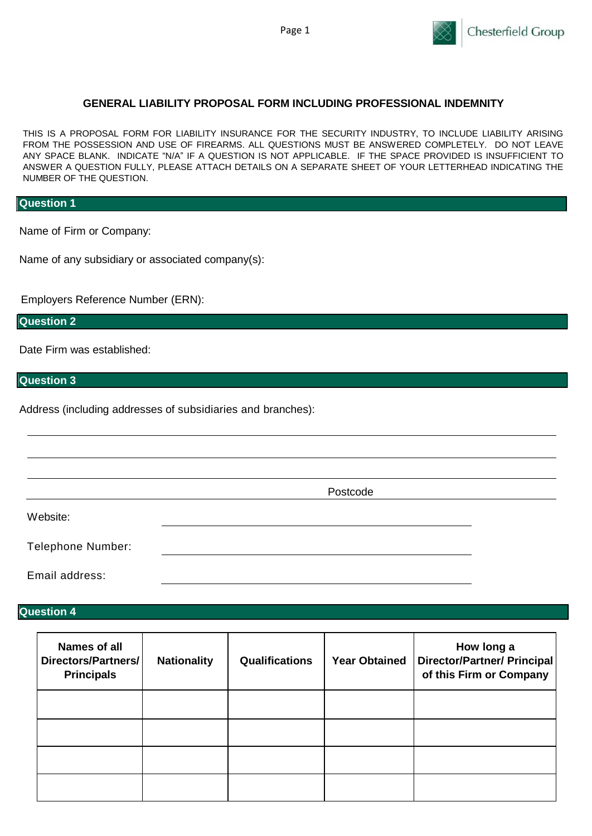

### **GENERAL LIABILITY PROPOSAL FORM INCLUDING PROFESSIONAL INDEMNITY**

THIS IS A PROPOSAL FORM FOR LIABILITY INSURANCE FOR THE SECURITY INDUSTRY, TO INCLUDE LIABILITY ARISING FROM THE POSSESSION AND USE OF FIREARMS. ALL QUESTIONS MUST BE ANSWERED COMPLETELY. DO NOT LEAVE ANY SPACE BLANK. INDICATE "N/A" IF A QUESTION IS NOT APPLICABLE. IF THE SPACE PROVIDED IS INSUFFICIENT TO ANSWER A QUESTION FULLY, PLEASE ATTACH DETAILS ON A SEPARATE SHEET OF YOUR LETTERHEAD INDICATING THE NUMBER OF THE QUESTION.

#### **Question 1**

Name of Firm or Company:

Name of any subsidiary or associated company(s):

Employers Reference Number (ERN):

**Question 2**

Date Firm was established:

**Question 3**

Address (including addresses of subsidiaries and branches):

Postcode

Telephone Number:

Email address:

### **Question 4**

Website:

| <b>Names of all</b><br>Directors/Partners/<br><b>Principals</b> | <b>Nationality</b> | <b>Qualifications</b> | <b>Year Obtained</b> | How long a<br><b>Director/Partner/ Principal</b><br>of this Firm or Company |
|-----------------------------------------------------------------|--------------------|-----------------------|----------------------|-----------------------------------------------------------------------------|
|                                                                 |                    |                       |                      |                                                                             |
|                                                                 |                    |                       |                      |                                                                             |
|                                                                 |                    |                       |                      |                                                                             |
|                                                                 |                    |                       |                      |                                                                             |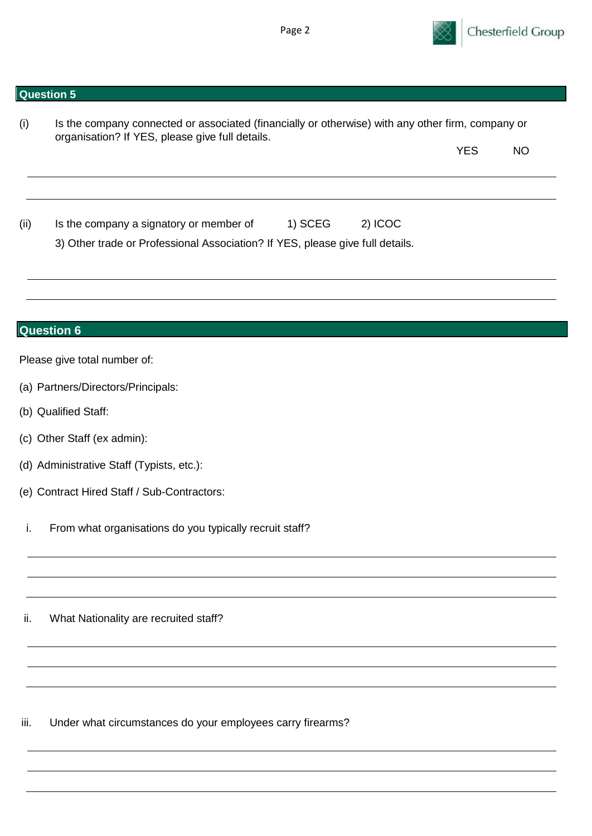

| (i)  | Is the company connected or associated (financially or otherwise) with any other firm, company or<br>organisation? If YES, please give full details. |            |           |
|------|------------------------------------------------------------------------------------------------------------------------------------------------------|------------|-----------|
|      |                                                                                                                                                      | <b>YES</b> | <b>NO</b> |
|      |                                                                                                                                                      |            |           |
| (ii) | 1) SCEG<br>2) ICOC<br>Is the company a signatory or member of<br>3) Other trade or Professional Association? If YES, please give full details.       |            |           |
|      |                                                                                                                                                      |            |           |
|      | <b>Question 6</b>                                                                                                                                    |            |           |
|      | Please give total number of:                                                                                                                         |            |           |
|      | (a) Partners/Directors/Principals:                                                                                                                   |            |           |
|      | (b) Qualified Staff:                                                                                                                                 |            |           |
|      | (c) Other Staff (ex admin):                                                                                                                          |            |           |
|      | (d) Administrative Staff (Typists, etc.):                                                                                                            |            |           |
|      | (e) Contract Hired Staff / Sub-Contractors:                                                                                                          |            |           |
| i.   | From what organisations do you typically recruit staff?                                                                                              |            |           |
|      |                                                                                                                                                      |            |           |
| ii.  | What Nationality are recruited staff?                                                                                                                |            |           |
|      |                                                                                                                                                      |            |           |
|      |                                                                                                                                                      |            |           |
| iii. | Under what circumstances do your employees carry firearms?                                                                                           |            |           |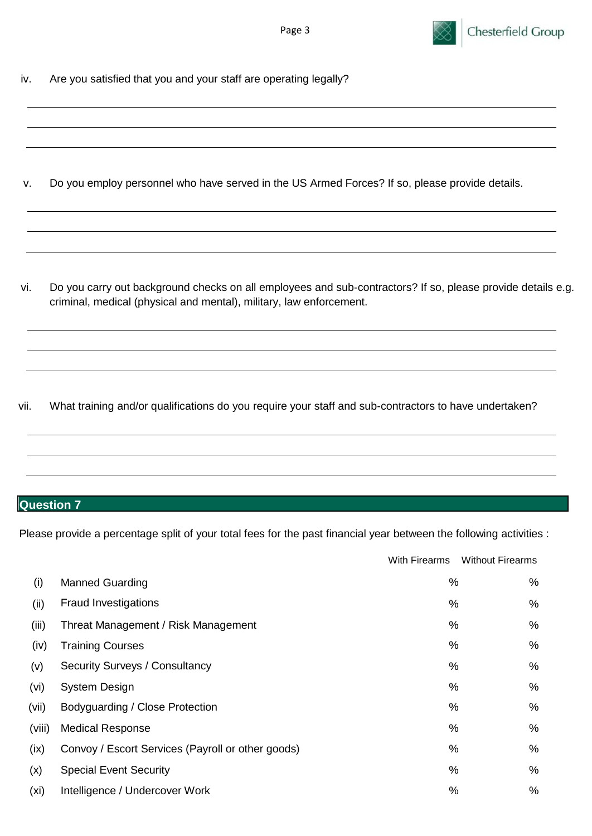

iv. Are you satisfied that you and your staff are operating legally?

v. Do you employ personnel who have served in the US Armed Forces? If so, please provide details.

vi. Do you carry out background checks on all employees and sub-contractors? If so, please provide details e.g. criminal, medical (physical and mental), military, law enforcement.

vii. What training and/or qualifications do you require your staff and sub-contractors to have undertaken?

# **Question 7**

Please provide a percentage split of your total fees for the past financial year between the following activities :

|        |                                                   | With Firearms | <b>Without Firearms</b> |
|--------|---------------------------------------------------|---------------|-------------------------|
| (i)    | <b>Manned Guarding</b>                            | %             | %                       |
| (ii)   | <b>Fraud Investigations</b>                       | %             | %                       |
| (iii)  | Threat Management / Risk Management               | %             | %                       |
| (iv)   | <b>Training Courses</b>                           | %             | %                       |
| (v)    | Security Surveys / Consultancy                    | %             | %                       |
| (vi)   | <b>System Design</b>                              | %             | %                       |
| (vii)  | Bodyguarding / Close Protection                   | %             | %                       |
| (viii) | <b>Medical Response</b>                           | %             | %                       |
| (ix)   | Convoy / Escort Services (Payroll or other goods) | %             | %                       |
| (x)    | <b>Special Event Security</b>                     | %             | %                       |
| (xi)   | Intelligence / Undercover Work                    | %             | %                       |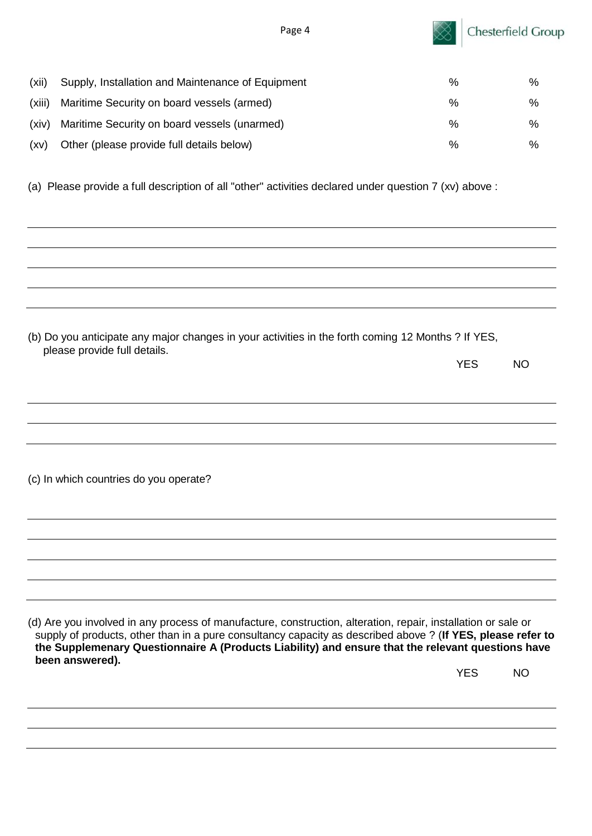

| (xii)  | Supply, Installation and Maintenance of Equipment | % | ℅    |
|--------|---------------------------------------------------|---|------|
| (xiii) | Maritime Security on board vessels (armed)        | % | %    |
| (xiv)  | Maritime Security on board vessels (unarmed)      | % | $\%$ |
| (xv)   | Other (please provide full details below)         | % | ℅    |

(a) Please provide a full description of all "other" activities declared under question 7 (xv) above :

| (b) Do you anticipate any major changes in your activities in the forth coming 12 Months ? If YES,<br>please provide full details.                                                                                                                                                                                                |            |                |
|-----------------------------------------------------------------------------------------------------------------------------------------------------------------------------------------------------------------------------------------------------------------------------------------------------------------------------------|------------|----------------|
|                                                                                                                                                                                                                                                                                                                                   | <b>YES</b> | <b>NO</b>      |
|                                                                                                                                                                                                                                                                                                                                   |            |                |
|                                                                                                                                                                                                                                                                                                                                   |            |                |
|                                                                                                                                                                                                                                                                                                                                   |            |                |
|                                                                                                                                                                                                                                                                                                                                   |            |                |
| (c) In which countries do you operate?                                                                                                                                                                                                                                                                                            |            |                |
|                                                                                                                                                                                                                                                                                                                                   |            |                |
|                                                                                                                                                                                                                                                                                                                                   |            |                |
|                                                                                                                                                                                                                                                                                                                                   |            |                |
|                                                                                                                                                                                                                                                                                                                                   |            |                |
|                                                                                                                                                                                                                                                                                                                                   |            |                |
| (d) Are you involved in any process of manufacture, construction, alteration, repair, installation or sale or<br>supply of products, other than in a pure consultancy capacity as described above ? (If YES, please refer to<br>the Supplemenary Questionnaire A (Products Liability) and ensure that the relevant questions have |            |                |
| been answered).                                                                                                                                                                                                                                                                                                                   | VEQ        | $\overline{M}$ |

YES NO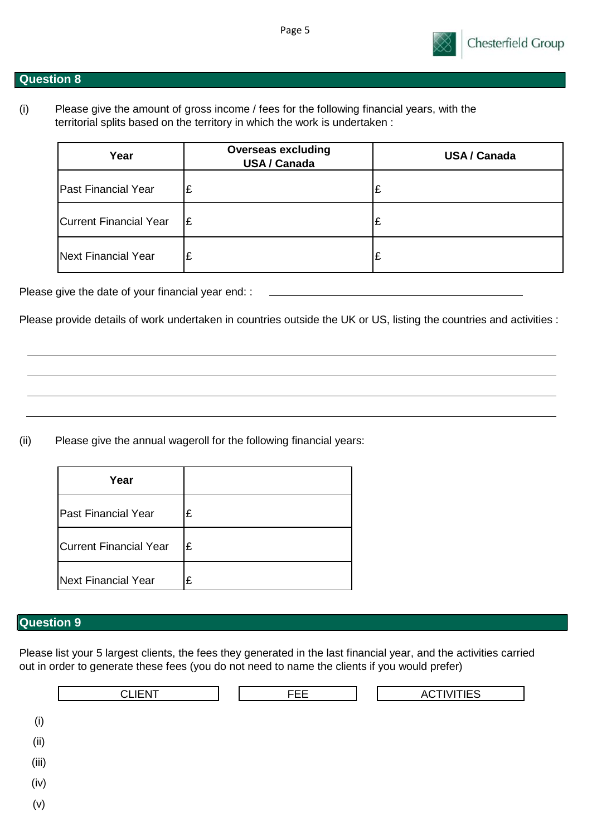

(i) Please give the amount of gross income / fees for the following financial years, with the territorial splits based on the territory in which the work is undertaken :

| Year                   | <b>Overseas excluding</b><br><b>USA/Canada</b> | <b>USA / Canada</b> |
|------------------------|------------------------------------------------|---------------------|
| Past Financial Year    | ١£                                             |                     |
| Current Financial Year | Ι£                                             |                     |
| Next Financial Year    | ١£                                             |                     |

Please give the date of your financial year end: :

Please provide details of work undertaken in countries outside the UK or US, listing the countries and activities :

(ii) Please give the annual wageroll for the following financial years:

| Year                          |   |
|-------------------------------|---|
| <b>Past Financial Year</b>    | £ |
| <b>Current Financial Year</b> | £ |
| <b>Next Financial Year</b>    | £ |

## **Question 9**

Please list your 5 largest clients, the fees they generated in the last financial year, and the activities carried out in order to generate these fees (you do not need to name the clients if you would prefer)

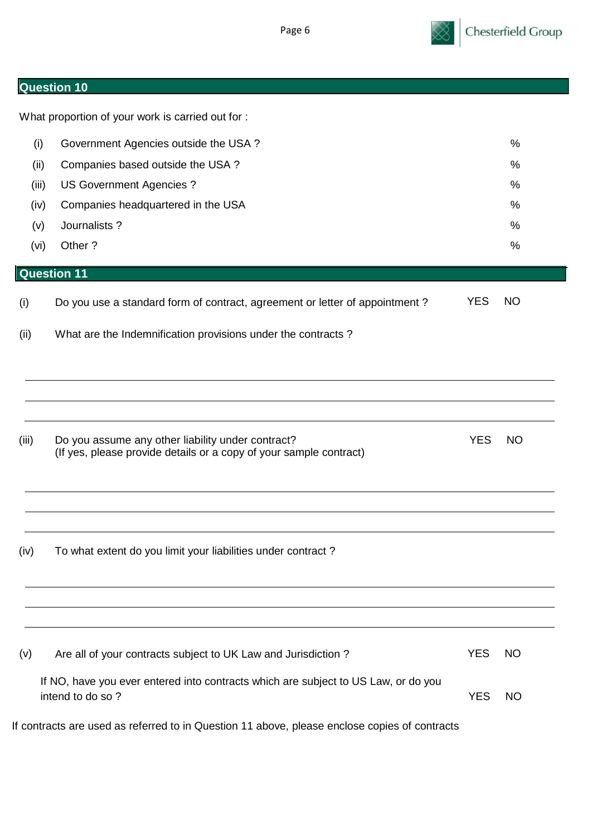| lQu<br><b>TASTION</b> |
|-----------------------|
|-----------------------|

What proportion of your work is carried out for : (i) Government Agencies outside the USA ?  $\%$ (ii) Companies based outside the USA ? % (iii) US Government Agencies ?  $\%$ (iv) Companies headquartered in the USA  $\%$ (v) Journalists ? % (vi) Other ? % **Question 11** (i) Do you use a standard form of contract, agreement or letter of appointment ? YES NO (ii) What are the Indemnification provisions under the contracts ? (iii) Do you assume any other liability under contract? The Manuson Contract of the VES NO (If yes, please provide details or a copy of your sample contract) (iv) To what extent do you limit your liabilities under contract ? (v) Are all of your contracts subject to UK Law and Jurisdiction ? YES NO If NO, have you ever entered into contracts which are subject to US Law, or do you intend to do so ? YES NO If contracts are used as referred to in Question 11 above, please enclose copies of contracts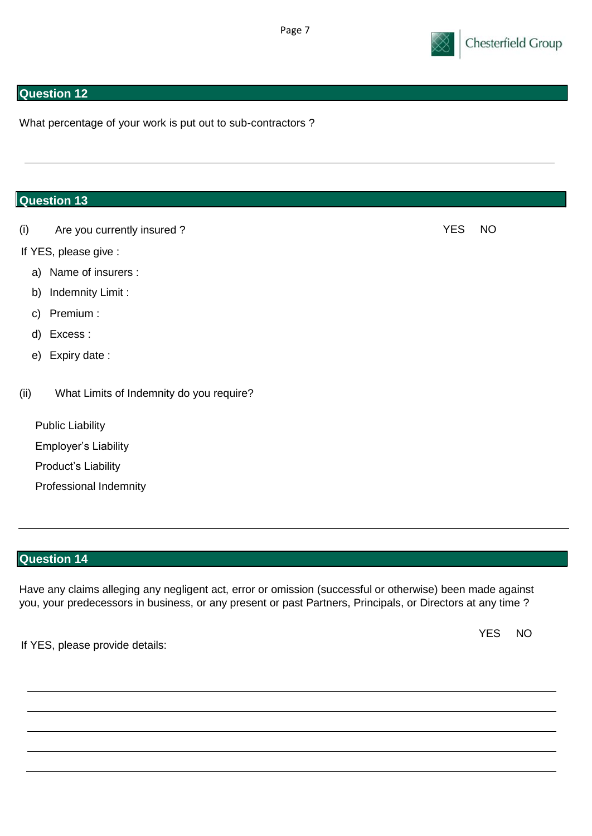

What percentage of your work is put out to sub-contractors ?

## **Question 13**

(i) Are you currently insured ? YES NO

- If YES, please give :
	- a) Name of insurers :
	- b) Indemnity Limit :
	- c) Premium :
	- d) Excess :
	- e) Expiry date :
- (ii) What Limits of Indemnity do you require?

Public Liability Employer's Liability Product's Liability Professional Indemnity

# **Question 14**

Have any claims alleging any negligent act, error or omission (successful or otherwise) been made against you, your predecessors in business, or any present or past Partners, Principals, or Directors at any time ?

If YES, please provide details:

YES NO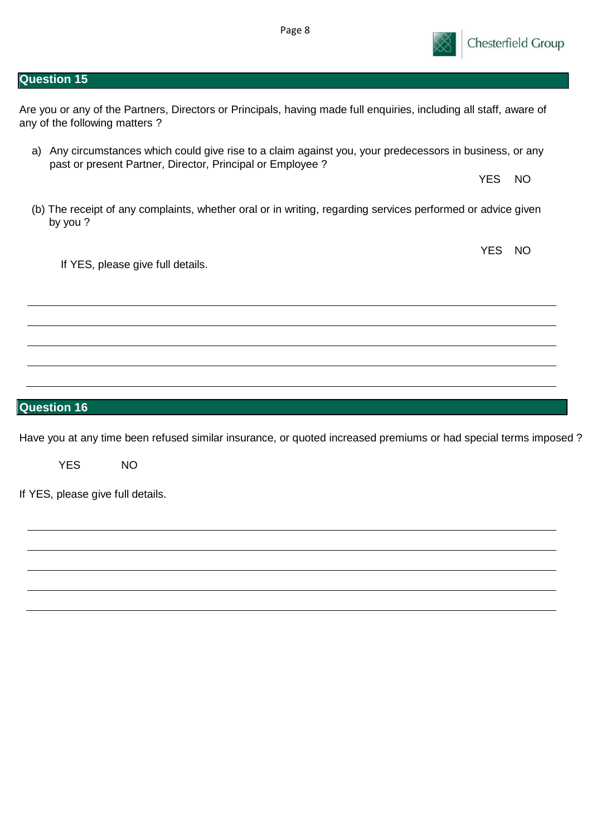Are you or any of the Partners, Directors or Principals, having made full enquiries, including all staff, aware of any of the following matters ?

- a) Any circumstances which could give rise to a claim against you, your predecessors in business, or any past or present Partner, Director, Principal or Employee ?
- (b) The receipt of any complaints, whether oral or in writing, regarding services performed or advice given by you ?

If YES, please give full details.

# **Question 16**

Have you at any time been refused similar insurance, or quoted increased premiums or had special terms imposed ?

YES NO

If YES, please give full details.



YES NO

YES NO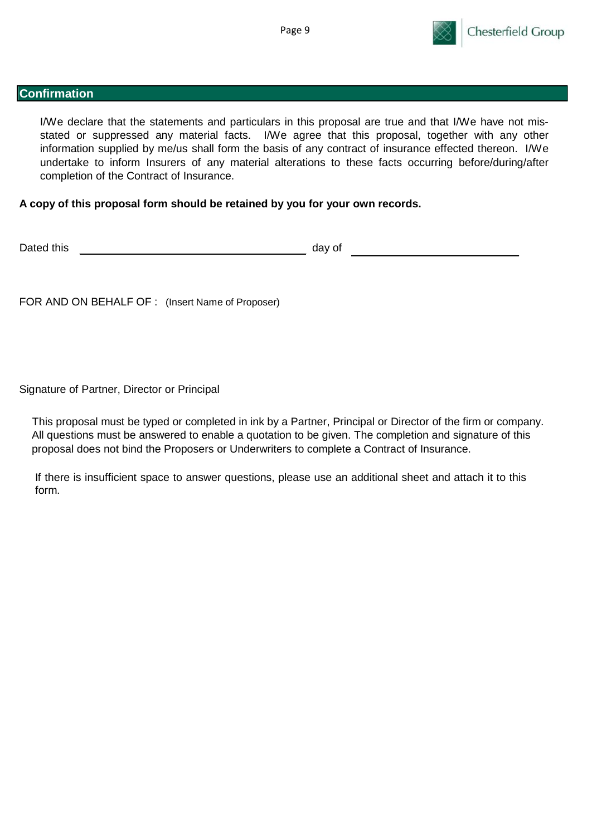

#### **Confirmation**

I/We declare that the statements and particulars in this proposal are true and that I/We have not misstated or suppressed any material facts. I/We agree that this proposal, together with any other information supplied by me/us shall form the basis of any contract of insurance effected thereon. I/We undertake to inform Insurers of any material alterations to these facts occurring before/during/after completion of the Contract of Insurance.

### **A copy of this proposal form should be retained by you for your own records.**

Dated this day of

FOR AND ON BEHALF OF : (Insert Name of Proposer)

Signature of Partner, Director or Principal

This proposal must be typed or completed in ink by a Partner, Principal or Director of the firm or company. All questions must be answered to enable a quotation to be given. The completion and signature of this proposal does not bind the Proposers or Underwriters to complete a Contract of Insurance.

If there is insufficient space to answer questions, please use an additional sheet and attach it to this form.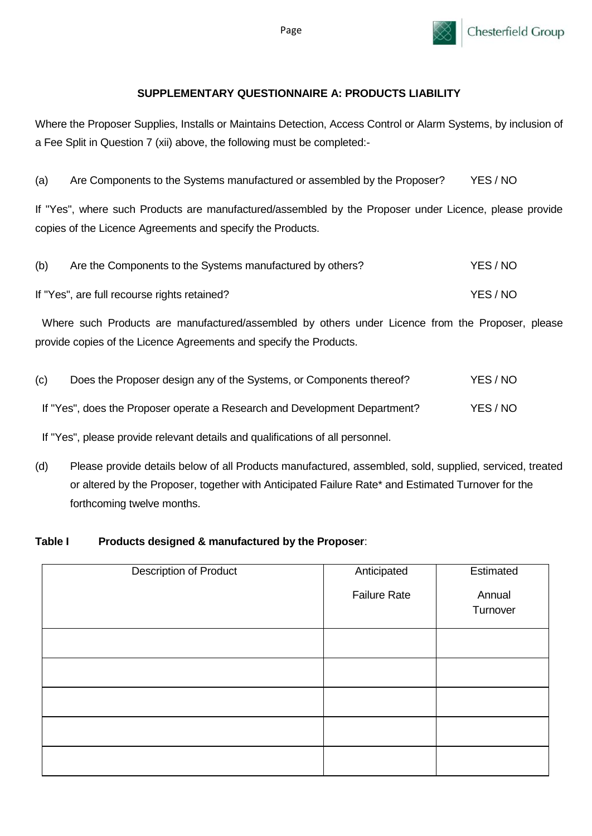

## **SUPPLEMENTARY QUESTIONNAIRE A: PRODUCTS LIABILITY**

Where the Proposer Supplies, Installs or Maintains Detection, Access Control or Alarm Systems, by inclusion of a Fee Split in Question 7 (xii) above, the following must be completed:-

(a) Are Components to the Systems manufactured or assembled by the Proposer? YES / NO

If "Yes", where such Products are manufactured/assembled by the Proposer under Licence, please provide copies of the Licence Agreements and specify the Products.

| (b) | Are the Components to the Systems manufactured by others? | YES / NO |
|-----|-----------------------------------------------------------|----------|
|     | If "Yes", are full recourse rights retained?              | YES / NO |

Where such Products are manufactured/assembled by others under Licence from the Proposer, please provide copies of the Licence Agreements and specify the Products.

| (c) | Does the Proposer design any of the Systems, or Components thereof?        | YES / NO |
|-----|----------------------------------------------------------------------------|----------|
|     | If "Yes", does the Proposer operate a Research and Development Department? | YES / NO |

If "Yes", please provide relevant details and qualifications of all personnel.

(d) Please provide details below of all Products manufactured, assembled, sold, supplied, serviced, treated or altered by the Proposer, together with Anticipated Failure Rate\* and Estimated Turnover for the forthcoming twelve months.

### **Table I Products designed & manufactured by the Proposer**:

| <b>Description of Product</b> | Anticipated         | Estimated |
|-------------------------------|---------------------|-----------|
|                               | <b>Failure Rate</b> | Annual    |
|                               |                     | Turnover  |
|                               |                     |           |
|                               |                     |           |
|                               |                     |           |
|                               |                     |           |
|                               |                     |           |

Page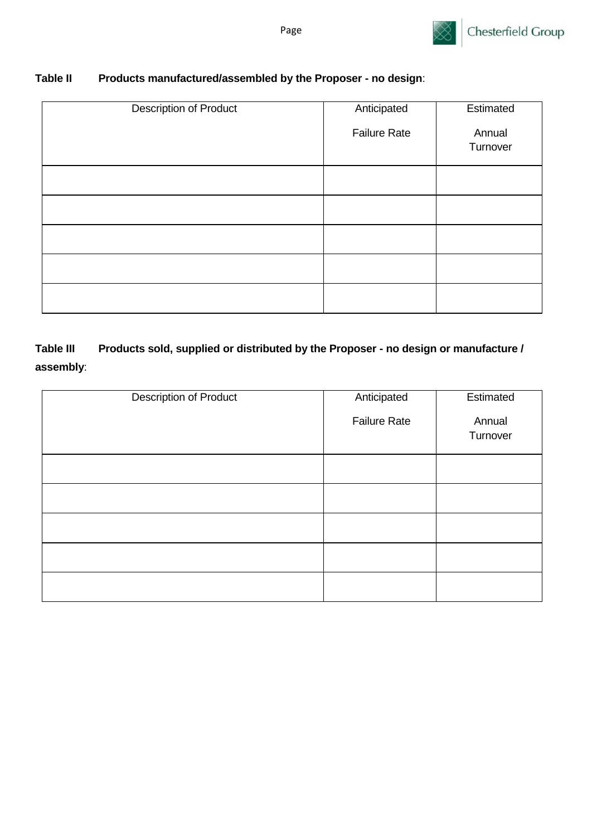

# **Table II Products manufactured/assembled by the Proposer - no design**:

| Anticipated         | Estimated |
|---------------------|-----------|
| <b>Failure Rate</b> | Annual    |
|                     | Turnover  |
|                     |           |
|                     |           |
|                     |           |
|                     |           |
|                     |           |
|                     |           |
|                     |           |
|                     |           |

# **Table III Products sold, supplied or distributed by the Proposer - no design or manufacture / assembly**:

| <b>Description of Product</b> | Anticipated         | Estimated          |
|-------------------------------|---------------------|--------------------|
|                               | <b>Failure Rate</b> | Annual<br>Turnover |
|                               |                     |                    |
|                               |                     |                    |
|                               |                     |                    |
|                               |                     |                    |
|                               |                     |                    |